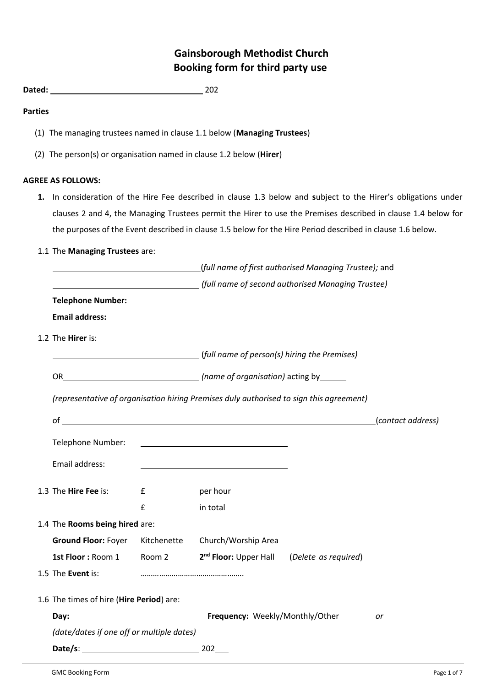# **Gainsborough Methodist Church Booking form for third party use**

# **Parties**

- (1) The managing trustees named in clause 1.1 below (**Managing Trustees**)
- (2) The person(s) or organisation named in clause 1.2 below (**Hirer**)

# **AGREE AS FOLLOWS:**

- **1.** In consideration of the Hire Fee described in clause 1.3 below and **s**ubject to the Hirer's obligations under clauses 2 and 4, the Managing Trustees permit the Hirer to use the Premises described in clause 1.4 below for the purposes of the Event described in clause 1.5 below for the Hire Period described in clause 1.6 below.
- 1.1 The **Managing Trustees** are:

|                                                                                         |             | (full name of first authorised Managing Trustee); and  |  |                   |  |
|-----------------------------------------------------------------------------------------|-------------|--------------------------------------------------------|--|-------------------|--|
| (full name of second authorised Managing Trustee)                                       |             |                                                        |  |                   |  |
| <b>Telephone Number:</b>                                                                |             |                                                        |  |                   |  |
| <b>Email address:</b>                                                                   |             |                                                        |  |                   |  |
| 1.2 The Hirer is:                                                                       |             |                                                        |  |                   |  |
|                                                                                         |             |                                                        |  |                   |  |
|                                                                                         |             |                                                        |  |                   |  |
| (representative of organisation hiring Premises duly authorised to sign this agreement) |             |                                                        |  |                   |  |
|                                                                                         |             |                                                        |  | (contact address) |  |
| Telephone Number:                                                                       |             |                                                        |  |                   |  |
|                                                                                         |             |                                                        |  |                   |  |
| Email address:                                                                          |             |                                                        |  |                   |  |
| 1.3 The Hire Fee is:                                                                    | £           | per hour                                               |  |                   |  |
|                                                                                         | £           | in total                                               |  |                   |  |
| 1.4 The Rooms being hired are:                                                          |             |                                                        |  |                   |  |
| <b>Ground Floor: Foyer</b>                                                              | Kitchenette | Church/Worship Area                                    |  |                   |  |
| 1st Floor: Room 1 Room 2                                                                |             | 2 <sup>nd</sup> Floor: Upper Hall (Delete as required) |  |                   |  |
| 1.5 The Event is:                                                                       |             |                                                        |  |                   |  |
| 1.6 The times of hire (Hire Period) are:                                                |             |                                                        |  |                   |  |
| Day:                                                                                    |             | Frequency: Weekly/Monthly/Other                        |  | or                |  |
| (date/dates if one off or multiple dates)                                               |             |                                                        |  |                   |  |
|                                                                                         |             |                                                        |  |                   |  |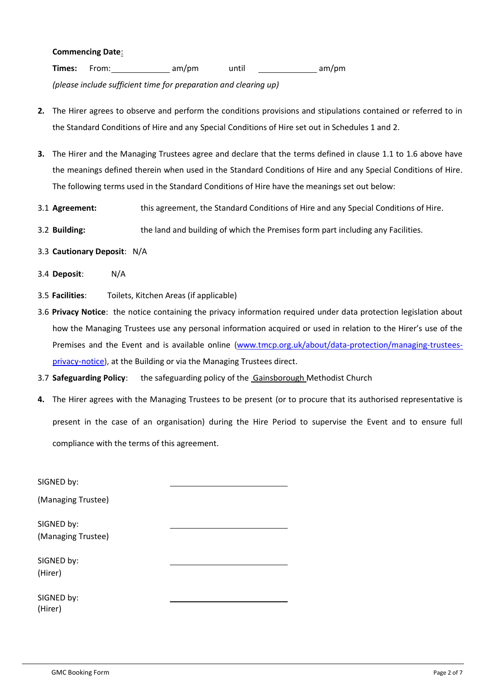#### **Commencing Date**:

**Times:** From: am/pm until am/pm am/pm

*(please include sufficient time for preparation and clearing up)*

- **2.** The Hirer agrees to observe and perform the conditions provisions and stipulations contained or referred to in the Standard Conditions of Hire and any Special Conditions of Hire set out in Schedules 1 and 2.
- **3.** The Hirer and the Managing Trustees agree and declare that the terms defined in clause 1.1 to 1.6 above have the meanings defined therein when used in the Standard Conditions of Hire and any Special Conditions of Hire. The following terms used in the Standard Conditions of Hire have the meanings set out below:
- 3.1 **Agreement:** this agreement, the Standard Conditions of Hire and any Special Conditions of Hire.
- 3.2 **Building:** the land and building of which the Premises form part including any Facilities.
- 3.3 **Cautionary Deposit**: N/A
- 3.4 **Deposit**: N/A
- 3.5 **Facilities**: Toilets, Kitchen Areas (if applicable)
- 3.6 **Privacy Notice**: the notice containing the privacy information required under data protection legislation about how the Managing Trustees use any personal information acquired or used in relation to the Hirer's use of the Premises and the Event and is available online [\(www.tmcp.org.uk/about/data-protection/managing-trustees](http://www.tmcp.org.uk/about/data-protection/managing-trustees-privacy-notice)[privacy-notice\)](http://www.tmcp.org.uk/about/data-protection/managing-trustees-privacy-notice), at the Building or via the Managing Trustees direct.
- 3.7 **Safeguarding Policy**: the safeguarding policy of the Gainsborough Methodist Church
- **4.** The Hirer agrees with the Managing Trustees to be present (or to procure that its authorised representative is present in the case of an organisation) during the Hire Period to supervise the Event and to ensure full compliance with the terms of this agreement.

| SIGNED by:                       |  |
|----------------------------------|--|
| (Managing Trustee)               |  |
| SIGNED by:<br>(Managing Trustee) |  |
| SIGNED by:                       |  |
| (Hirer)<br>SIGNED by:            |  |
| (Hirer)                          |  |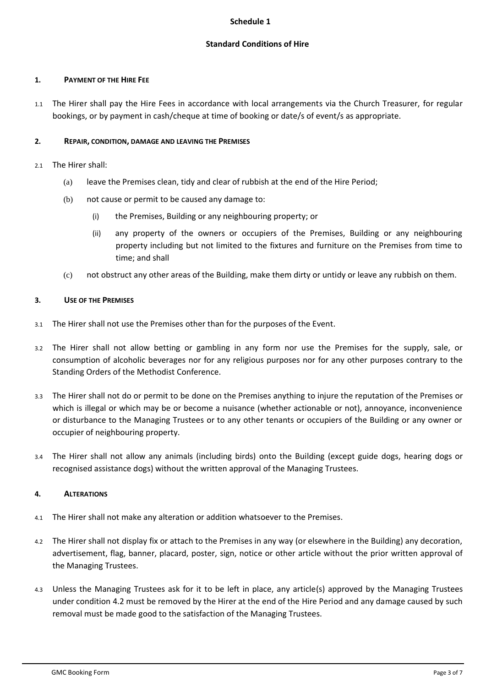## **Schedule 1**

# **Standard Conditions of Hire**

## **1. PAYMENT OF THE HIRE FEE**

1.1 The Hirer shall pay the Hire Fees in accordance with local arrangements via the Church Treasurer, for regular bookings, or by payment in cash/cheque at time of booking or date/s of event/s as appropriate.

# **2. REPAIR, CONDITION, DAMAGE AND LEAVING THE PREMISES**

- 2.1 The Hirer shall:
	- (a) leave the Premises clean, tidy and clear of rubbish at the end of the Hire Period;
	- (b) not cause or permit to be caused any damage to:
		- (i) the Premises, Building or any neighbouring property; or
		- (ii) any property of the owners or occupiers of the Premises, Building or any neighbouring property including but not limited to the fixtures and furniture on the Premises from time to time; and shall
	- (c) not obstruct any other areas of the Building, make them dirty or untidy or leave any rubbish on them.

# **3. USE OF THE PREMISES**

- 3.1 The Hirer shall not use the Premises other than for the purposes of the Event.
- 3.2 The Hirer shall not allow betting or gambling in any form nor use the Premises for the supply, sale, or consumption of alcoholic beverages nor for any religious purposes nor for any other purposes contrary to the Standing Orders of the Methodist Conference.
- 3.3 The Hirer shall not do or permit to be done on the Premises anything to injure the reputation of the Premises or which is illegal or which may be or become a nuisance (whether actionable or not), annoyance, inconvenience or disturbance to the Managing Trustees or to any other tenants or occupiers of the Building or any owner or occupier of neighbouring property.
- 3.4 The Hirer shall not allow any animals (including birds) onto the Building (except guide dogs, hearing dogs or recognised assistance dogs) without the written approval of the Managing Trustees.

# **4. ALTERATIONS**

- 4.1 The Hirer shall not make any alteration or addition whatsoever to the Premises.
- 4.2 The Hirer shall not display fix or attach to the Premises in any way (or elsewhere in the Building) any decoration, advertisement, flag, banner, placard, poster, sign, notice or other article without the prior written approval of the Managing Trustees.
- 4.3 Unless the Managing Trustees ask for it to be left in place, any article(s) approved by the Managing Trustees under condition 4.2 must be removed by the Hirer at the end of the Hire Period and any damage caused by such removal must be made good to the satisfaction of the Managing Trustees.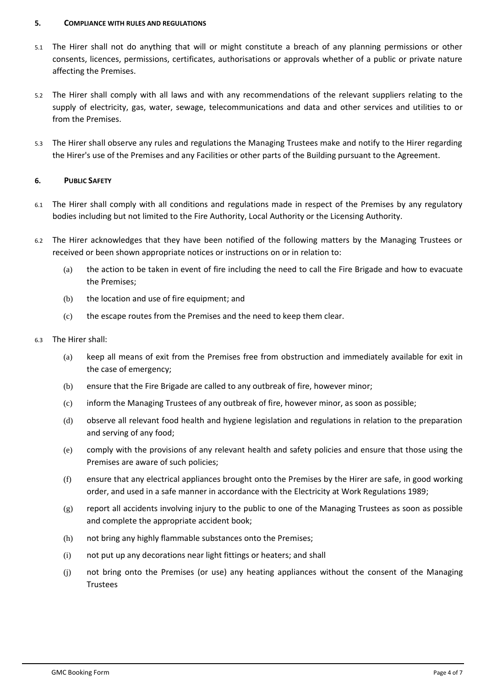## **5. COMPLIANCE WITH RULES AND REGULATIONS**

- 5.1 The Hirer shall not do anything that will or might constitute a breach of any planning permissions or other consents, licences, permissions, certificates, authorisations or approvals whether of a public or private nature affecting the Premises.
- 5.2 The Hirer shall comply with all laws and with any recommendations of the relevant suppliers relating to the supply of electricity, gas, water, sewage, telecommunications and data and other services and utilities to or from the Premises.
- 5.3 The Hirer shall observe any rules and regulations the Managing Trustees make and notify to the Hirer regarding the Hirer's use of the Premises and any Facilities or other parts of the Building pursuant to the Agreement.

# **6. PUBLIC SAFETY**

- 6.1 The Hirer shall comply with all conditions and regulations made in respect of the Premises by any regulatory bodies including but not limited to the Fire Authority, Local Authority or the Licensing Authority.
- 6.2 The Hirer acknowledges that they have been notified of the following matters by the Managing Trustees or received or been shown appropriate notices or instructions on or in relation to:
	- (a) the action to be taken in event of fire including the need to call the Fire Brigade and how to evacuate the Premises;
	- (b) the location and use of fire equipment; and
	- (c) the escape routes from the Premises and the need to keep them clear.

## 6.3 The Hirer shall:

- (a) keep all means of exit from the Premises free from obstruction and immediately available for exit in the case of emergency;
- (b) ensure that the Fire Brigade are called to any outbreak of fire, however minor;
- (c) inform the Managing Trustees of any outbreak of fire, however minor, as soon as possible;
- (d) observe all relevant food health and hygiene legislation and regulations in relation to the preparation and serving of any food;
- (e) comply with the provisions of any relevant health and safety policies and ensure that those using the Premises are aware of such policies;
- (f) ensure that any electrical appliances brought onto the Premises by the Hirer are safe, in good working order, and used in a safe manner in accordance with the Electricity at Work Regulations 1989;
- (g) report all accidents involving injury to the public to one of the Managing Trustees as soon as possible and complete the appropriate accident book;
- (h) not bring any highly flammable substances onto the Premises;
- (i) not put up any decorations near light fittings or heaters; and shall
- (j) not bring onto the Premises (or use) any heating appliances without the consent of the Managing Trustees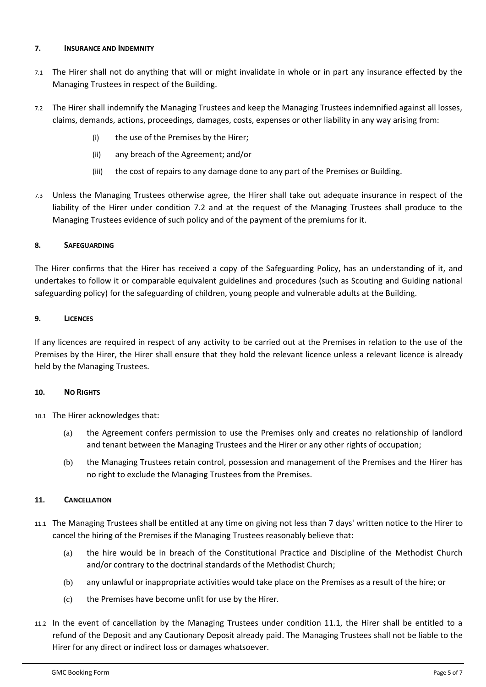# **7. INSURANCE AND INDEMNITY**

- 7.1 The Hirer shall not do anything that will or might invalidate in whole or in part any insurance effected by the Managing Trustees in respect of the Building.
- 7.2 The Hirer shall indemnify the Managing Trustees and keep the Managing Trustees indemnified against all losses, claims, demands, actions, proceedings, damages, costs, expenses or other liability in any way arising from:
	- (i) the use of the Premises by the Hirer;
	- (ii) any breach of the Agreement; and/or
	- (iii) the cost of repairs to any damage done to any part of the Premises or Building.
- 7.3 Unless the Managing Trustees otherwise agree, the Hirer shall take out adequate insurance in respect of the liability of the Hirer under condition 7.2 and at the request of the Managing Trustees shall produce to the Managing Trustees evidence of such policy and of the payment of the premiums for it.

# **8. SAFEGUARDING**

The Hirer confirms that the Hirer has received a copy of the Safeguarding Policy, has an understanding of it, and undertakes to follow it or comparable equivalent guidelines and procedures (such as Scouting and Guiding national safeguarding policy) for the safeguarding of children, young people and vulnerable adults at the Building.

# **9. LICENCES**

If any licences are required in respect of any activity to be carried out at the Premises in relation to the use of the Premises by the Hirer, the Hirer shall ensure that they hold the relevant licence unless a relevant licence is already held by the Managing Trustees.

## **10. NO RIGHTS**

10.1 The Hirer acknowledges that:

- (a) the Agreement confers permission to use the Premises only and creates no relationship of landlord and tenant between the Managing Trustees and the Hirer or any other rights of occupation;
- (b) the Managing Trustees retain control, possession and management of the Premises and the Hirer has no right to exclude the Managing Trustees from the Premises.

# **11. CANCELLATION**

- 11.1 The Managing Trustees shall be entitled at any time on giving not less than 7 days' written notice to the Hirer to cancel the hiring of the Premises if the Managing Trustees reasonably believe that:
	- (a) the hire would be in breach of the Constitutional Practice and Discipline of the Methodist Church and/or contrary to the doctrinal standards of the Methodist Church;
	- (b) any unlawful or inappropriate activities would take place on the Premises as a result of the hire; or
	- (c) the Premises have become unfit for use by the Hirer.
- 11.2 In the event of cancellation by the Managing Trustees under condition 11.1, the Hirer shall be entitled to a refund of the Deposit and any Cautionary Deposit already paid. The Managing Trustees shall not be liable to the Hirer for any direct or indirect loss or damages whatsoever.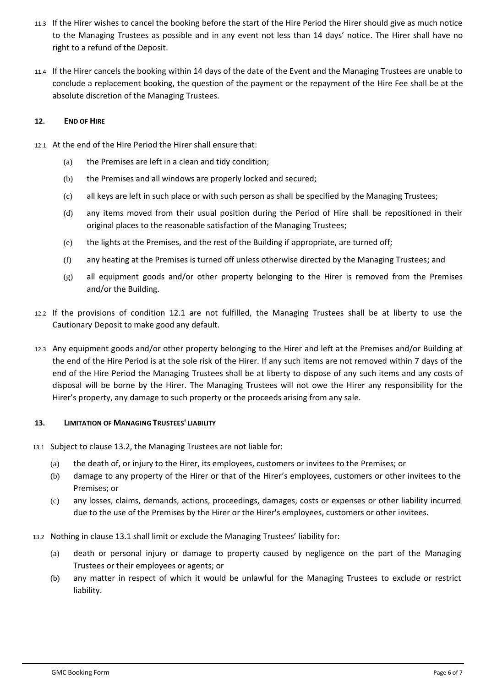- 11.3 If the Hirer wishes to cancel the booking before the start of the Hire Period the Hirer should give as much notice to the Managing Trustees as possible and in any event not less than 14 days' notice. The Hirer shall have no right to a refund of the Deposit.
- 11.4 If the Hirer cancels the booking within 14 days of the date of the Event and the Managing Trustees are unable to conclude a replacement booking, the question of the payment or the repayment of the Hire Fee shall be at the absolute discretion of the Managing Trustees.

## **12. END OF HIRE**

- 12.1 At the end of the Hire Period the Hirer shall ensure that:
	- (a) the Premises are left in a clean and tidy condition;
	- (b) the Premises and all windows are properly locked and secured;
	- (c) all keys are left in such place or with such person as shall be specified by the Managing Trustees;
	- (d) any items moved from their usual position during the Period of Hire shall be repositioned in their original places to the reasonable satisfaction of the Managing Trustees;
	- (e) the lights at the Premises, and the rest of the Building if appropriate, are turned off;
	- (f) any heating at the Premises is turned off unless otherwise directed by the Managing Trustees; and
	- $(g)$  all equipment goods and/or other property belonging to the Hirer is removed from the Premises and/or the Building.
- 12.2 If the provisions of condition 12.1 are not fulfilled, the Managing Trustees shall be at liberty to use the Cautionary Deposit to make good any default.
- 12.3 Any equipment goods and/or other property belonging to the Hirer and left at the Premises and/or Building at the end of the Hire Period is at the sole risk of the Hirer. If any such items are not removed within 7 days of the end of the Hire Period the Managing Trustees shall be at liberty to dispose of any such items and any costs of disposal will be borne by the Hirer. The Managing Trustees will not owe the Hirer any responsibility for the Hirer's property, any damage to such property or the proceeds arising from any sale.

## **13. LIMITATION OF MANAGING TRUSTEES' LIABILITY**

- 13.1 Subject to clause 13.2, the Managing Trustees are not liable for:
	- (a) the death of, or injury to the Hirer, its employees, customers or invitees to the Premises; or
	- (b) damage to any property of the Hirer or that of the Hirer's employees, customers or other invitees to the Premises; or
	- (c) any losses, claims, demands, actions, proceedings, damages, costs or expenses or other liability incurred due to the use of the Premises by the Hirer or the Hirer's employees, customers or other invitees.
- 13.2 Nothing in clause 13.1 shall limit or exclude the Managing Trustees' liability for:
	- (a) death or personal injury or damage to property caused by negligence on the part of the Managing Trustees or their employees or agents; or
	- (b) any matter in respect of which it would be unlawful for the Managing Trustees to exclude or restrict liability.